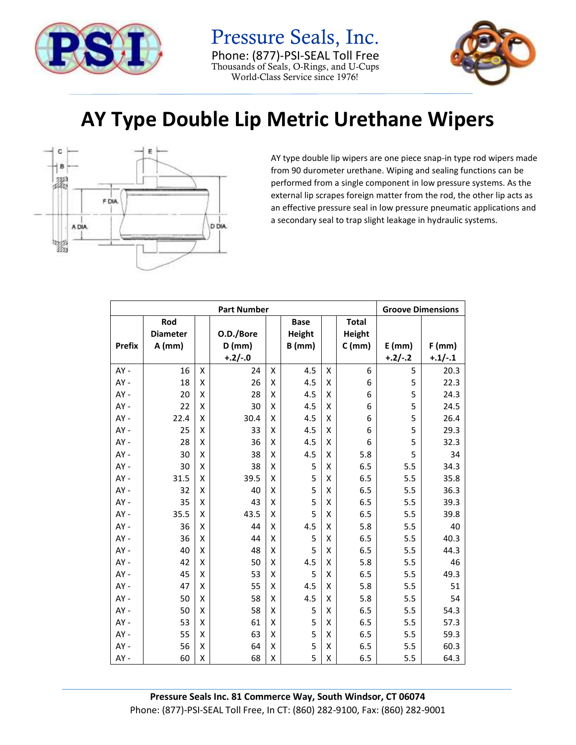

Pressure Seals, Inc. Phone: (877)-PSI-SEAL Toll Free Thousands of Seals, O-Rings, and U-Cups World-Class Service since 1976!



## **AY Type Double Lip Metric Urethane Wipers**



AY type double lip wipers are one piece snap-in type rod wipers made from 90 durometer urethane. Wiping and sealing functions can be performed from a single component in low pressure systems. As the external lip scrapes foreign matter from the rod, the other lip acts as an effective pressure seal in low pressure pneumatic applications and a secondary seal to trap slight leakage in hydraulic systems.

| <b>Part Number</b> |                 |   |           |   |             |   |              |           | <b>Groove Dimensions</b> |  |
|--------------------|-----------------|---|-----------|---|-------------|---|--------------|-----------|--------------------------|--|
|                    | Rod             |   |           |   | <b>Base</b> |   | <b>Total</b> |           |                          |  |
|                    | <b>Diameter</b> |   | O.D./Bore |   | Height      |   | Height       |           |                          |  |
| <b>Prefix</b>      | $A$ (mm)        |   | $D$ (mm)  |   | $B$ (mm)    |   | $C$ (mm)     | $E$ (mm)  | $F$ (mm)                 |  |
|                    |                 |   | $+.2/-.0$ |   |             |   |              | $+.2/-.2$ | $+.1/-.1$                |  |
| AY -               | 16              | Χ | 24        | X | 4.5         | Χ | 6            | 5         | 20.3                     |  |
| AY-                | 18              | X | 26        | Χ | 4.5         | Χ | 6            | 5         | 22.3                     |  |
| AY -               | 20              | X | 28        | X | 4.5         | Χ | 6            | 5         | 24.3                     |  |
| AY-                | 22              | X | 30        | X | 4.5         | х | 6            | 5         | 24.5                     |  |
| $AY -$             | 22.4            | Χ | 30.4      | Χ | 4.5         | Χ | 6            | 5         | 26.4                     |  |
| AY -               | 25              | X | 33        | X | 4.5         | Χ | 6            | 5         | 29.3                     |  |
| $AY -$             | 28              | X | 36        | X | 4.5         | Χ | 6            | 5         | 32.3                     |  |
| AY-                | 30              | Χ | 38        | X | 4.5         | Χ | 5.8          | 5         | 34                       |  |
| AY-                | 30              | X | 38        | X | 5           | Χ | 6.5          | 5.5       | 34.3                     |  |
| $AY -$             | 31.5            | Χ | 39.5      | Χ | 5           | Χ | 6.5          | 5.5       | 35.8                     |  |
| AY -               | 32              | X | 40        | Χ | 5           | Χ | 6.5          | 5.5       | 36.3                     |  |
| AY-                | 35              | X | 43        | X | 5           | Χ | 6.5          | 5.5       | 39.3                     |  |
| $AY -$             | 35.5            | Χ | 43.5      | Χ | 5           | Χ | 6.5          | 5.5       | 39.8                     |  |
| AY -               | 36              | Χ | 44        | Χ | 4.5         | Χ | 5.8          | 5.5       | 40                       |  |
| AY-                | 36              | X | 44        | X | 5           | Χ | 6.5          | 5.5       | 40.3                     |  |
| $AY -$             | 40              | Χ | 48        | Χ | 5           | Χ | 6.5          | 5.5       | 44.3                     |  |
| AY-                | 42              | X | 50        | X | 4.5         | Χ | 5.8          | 5.5       | 46                       |  |
| AY -               | 45              | X | 53        | X | 5           | Χ | 6.5          | 5.5       | 49.3                     |  |
| AY-                | 47              | X | 55        | X | 4.5         | Χ | 5.8          | 5.5       | 51                       |  |
| AY -               | 50              | X | 58        | X | 4.5         | Χ | 5.8          | 5.5       | 54                       |  |
| AY-                | 50              | X | 58        | x | 5           | Χ | 6.5          | 5.5       | 54.3                     |  |
| $AY -$             | 53              | X | 61        | X | 5           | Χ | 6.5          | 5.5       | 57.3                     |  |
| AY -               | 55              | X | 63        | X | 5           | Χ | 6.5          | 5.5       | 59.3                     |  |
| $AY -$             | 56              | Χ | 64        | Χ | 5           | Χ | 6.5          | 5.5       | 60.3                     |  |
| AY-                | 60              | X | 68        | Χ | 5           | Χ | 6.5          | 5.5       | 64.3                     |  |